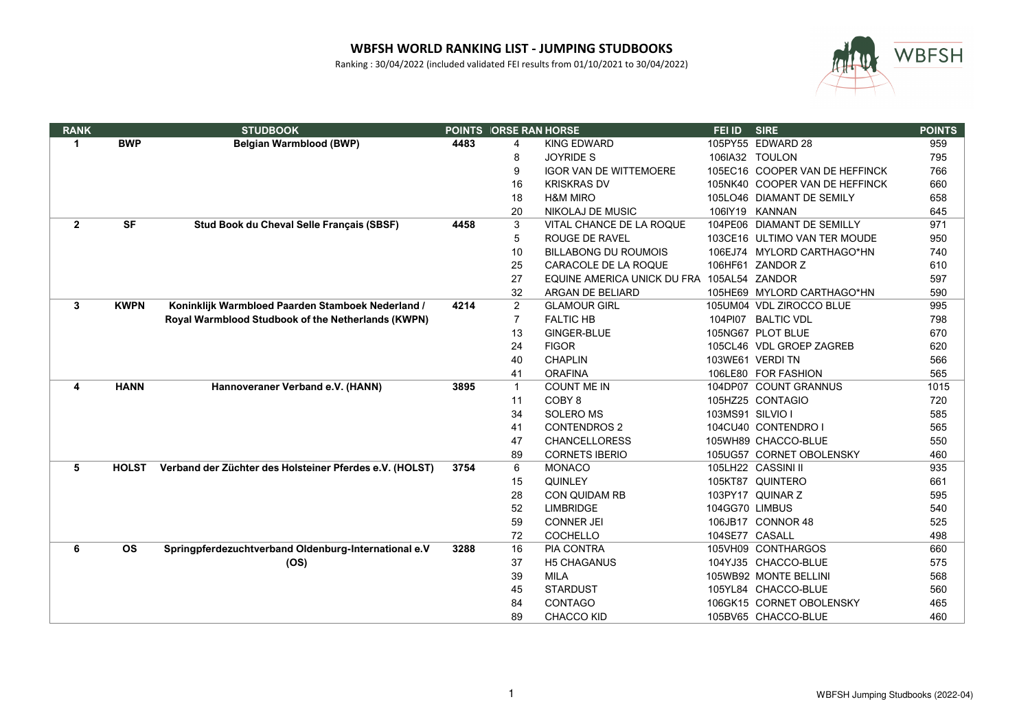

| <b>RANK</b>  |              | <b>STUDBOOK</b>                                         |      | <b>POINTS IORSE RAN HORSE</b> |                               | <b>FEI ID</b>    | <b>SIRE</b>                    | <b>POINTS</b> |
|--------------|--------------|---------------------------------------------------------|------|-------------------------------|-------------------------------|------------------|--------------------------------|---------------|
| $\mathbf 1$  | <b>BWP</b>   | <b>Belgian Warmblood (BWP)</b>                          | 4483 | 4                             | <b>KING EDWARD</b>            |                  | 105PY55 EDWARD 28              | 959           |
|              |              |                                                         |      | 8                             | <b>JOYRIDE S</b>              |                  | 106IA32 TOULON                 | 795           |
|              |              |                                                         |      | 9                             | <b>IGOR VAN DE WITTEMOERE</b> |                  | 105EC16 COOPER VAN DE HEFFINCK | 766           |
|              |              |                                                         |      | 16                            | <b>KRISKRAS DV</b>            |                  | 105NK40 COOPER VAN DE HEFFINCK | 660           |
|              |              |                                                         |      | 18                            | <b>H&amp;M MIRO</b>           |                  | 105LO46 DIAMANT DE SEMILY      | 658           |
|              |              |                                                         |      | 20                            | NIKOLAJ DE MUSIC              |                  | 106IY19 KANNAN                 | 645           |
| $\mathbf{2}$ | <b>SF</b>    | Stud Book du Cheval Selle Français (SBSF)               | 4458 | 3                             | VITAL CHANCE DE LA ROQUE      |                  | 104PE06 DIAMANT DE SEMILLY     | 971           |
|              |              |                                                         |      | 5                             | ROUGE DE RAVEL                |                  | 103CE16 ULTIMO VAN TER MOUDE   | 950           |
|              |              |                                                         |      | 10                            | <b>BILLABONG DU ROUMOIS</b>   |                  | 106EJ74 MYLORD CARTHAGO*HN     | 740           |
|              |              |                                                         |      | 25                            | CARACOLE DE LA ROQUE          |                  | 106HF61 ZANDOR Z               | 610           |
|              |              |                                                         |      | 27                            | EQUINE AMERICA UNICK DU FRA   | 105AL54 ZANDOR   |                                | 597           |
|              |              |                                                         |      | 32                            | ARGAN DE BELIARD              |                  | 105HE69 MYLORD CARTHAGO*HN     | 590           |
| 3            | <b>KWPN</b>  | Koninklijk Warmbloed Paarden Stamboek Nederland /       | 4214 | 2                             | <b>GLAMOUR GIRL</b>           |                  | 105UM04 VDL ZIROCCO BLUE       | 995           |
|              |              | Royal Warmblood Studbook of the Netherlands (KWPN)      |      | $\overline{7}$                | <b>FALTIC HB</b>              |                  | 104PI07 BALTIC VDL             | 798           |
|              |              |                                                         |      | 13                            | <b>GINGER-BLUE</b>            |                  | 105NG67 PLOT BLUE              | 670           |
|              |              |                                                         |      | 24                            | <b>FIGOR</b>                  |                  | 105CL46 VDL GROEP ZAGREB       | 620           |
|              |              |                                                         |      | 40                            | <b>CHAPLIN</b>                |                  | 103WE61 VERDI TN               | 566           |
|              |              |                                                         |      | 41                            | <b>ORAFINA</b>                |                  | 106LE80 FOR FASHION            | 565           |
| 4            | <b>HANN</b>  | Hannoveraner Verband e.V. (HANN)                        | 3895 | $\mathbf{1}$                  | <b>COUNT ME IN</b>            |                  | 104DP07 COUNT GRANNUS          | 1015          |
|              |              |                                                         |      | 11                            | COBY <sub>8</sub>             |                  | 105HZ25 CONTAGIO               | 720           |
|              |              |                                                         |      | 34                            | <b>SOLERO MS</b>              | 103MS91 SILVIO I |                                | 585           |
|              |              |                                                         |      | 41                            | <b>CONTENDROS 2</b>           |                  | 104CU40 CONTENDRO I            | 565           |
|              |              |                                                         |      | 47                            | <b>CHANCELLORESS</b>          |                  | 105WH89 CHACCO-BLUE            | 550           |
|              |              |                                                         |      | 89                            | <b>CORNETS IBERIO</b>         |                  | 105UG57 CORNET OBOLENSKY       | 460           |
| 5            | <b>HOLST</b> | Verband der Züchter des Holsteiner Pferdes e.V. (HOLST) | 3754 | 6                             | <b>MONACO</b>                 |                  | 105LH22 CASSINI II             | 935           |
|              |              |                                                         |      | 15                            | <b>QUINLEY</b>                |                  | 105KT87 QUINTERO               | 661           |
|              |              |                                                         |      | 28                            | <b>CON QUIDAM RB</b>          |                  | 103PY17 QUINAR Z               | 595           |
|              |              |                                                         |      | 52                            | <b>LIMBRIDGE</b>              | 104GG70 LIMBUS   |                                | 540           |
|              |              |                                                         |      | 59                            | <b>CONNER JEI</b>             |                  | 106JB17 CONNOR 48              | 525           |
|              |              |                                                         |      | 72                            | <b>COCHELLO</b>               | 104SE77 CASALL   |                                | 498           |
| 6            | <b>OS</b>    | Springpferdezuchtverband Oldenburg-International e.V    | 3288 | 16                            | <b>PIA CONTRA</b>             |                  | 105VH09 CONTHARGOS             | 660           |
|              |              | (OS)                                                    |      | 37                            | <b>H5 CHAGANUS</b>            |                  | 104YJ35 CHACCO-BLUE            | 575           |
|              |              |                                                         |      | 39                            | <b>MILA</b>                   |                  | 105WB92 MONTE BELLINI          | 568           |
|              |              |                                                         |      | 45                            | <b>STARDUST</b>               |                  | 105YL84 CHACCO-BLUE            | 560           |
|              |              |                                                         |      | 84                            | <b>CONTAGO</b>                |                  | 106GK15 CORNET OBOLENSKY       | 465           |
|              |              |                                                         |      | 89                            | CHACCO KID                    |                  | 105BV65 CHACCO-BLUE            | 460           |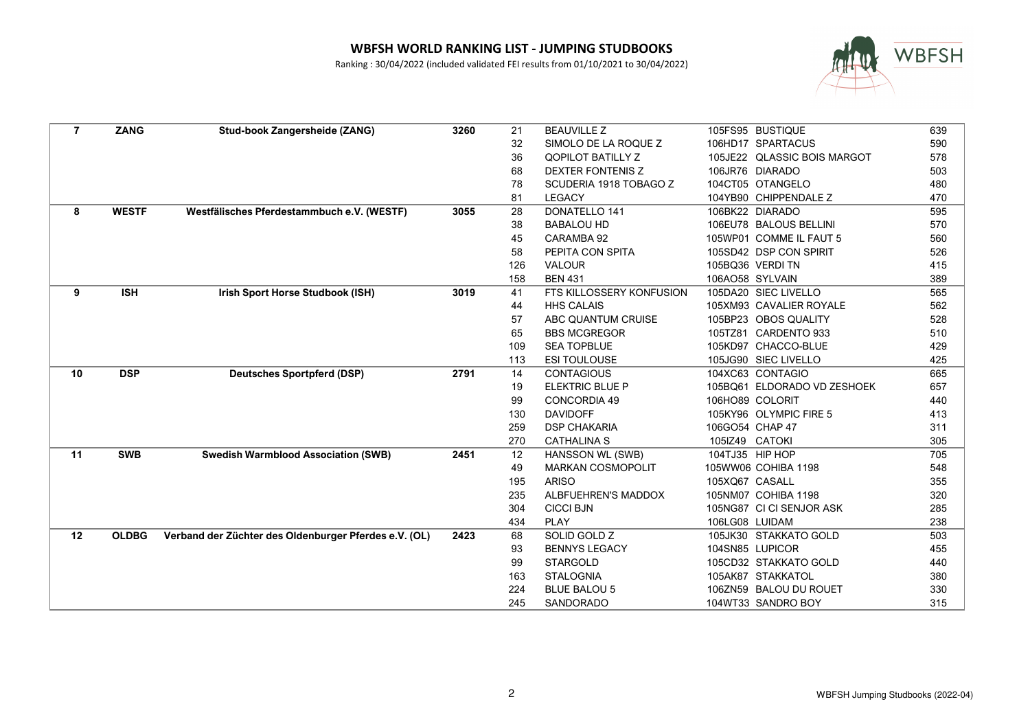

| $\overline{7}$ | <b>ZANG</b>  | Stud-book Zangersheide (ZANG)                         | 3260 | 21  | <b>BEAUVILLE Z</b>       |                | 105FS95 BUSTIQUE            | 639 |
|----------------|--------------|-------------------------------------------------------|------|-----|--------------------------|----------------|-----------------------------|-----|
|                |              |                                                       |      | 32  | SIMOLO DE LA ROQUE Z     |                | 106HD17 SPARTACUS           | 590 |
|                |              |                                                       |      | 36  | <b>QOPILOT BATILLY Z</b> |                | 105JE22 QLASSIC BOIS MARGOT | 578 |
|                |              |                                                       |      | 68  | <b>DEXTER FONTENIS Z</b> |                | 106JR76 DIARADO             | 503 |
|                |              |                                                       |      | 78  | SCUDERIA 1918 TOBAGO Z   |                | 104CT05 OTANGELO            | 480 |
|                |              |                                                       |      | 81  | <b>LEGACY</b>            |                | 104YB90 CHIPPENDALE Z       | 470 |
| 8              | <b>WESTF</b> | Westfälisches Pferdestammbuch e.V. (WESTF)            | 3055 | 28  | <b>DONATELLO 141</b>     |                | 106BK22 DIARADO             | 595 |
|                |              |                                                       |      | 38  | <b>BABALOU HD</b>        |                | 106EU78 BALOUS BELLINI      | 570 |
|                |              |                                                       |      | 45  | CARAMBA 92               |                | 105WP01 COMME IL FAUT 5     | 560 |
|                |              |                                                       |      | 58  | PEPITA CON SPITA         |                | 105SD42 DSP CON SPIRIT      | 526 |
|                |              |                                                       |      | 126 | <b>VALOUR</b>            |                | 105BQ36 VERDI TN            | 415 |
|                |              |                                                       |      | 158 | <b>BEN 431</b>           |                | 106AO58 SYLVAIN             | 389 |
| 9              | <b>ISH</b>   | Irish Sport Horse Studbook (ISH)                      | 3019 | 41  | FTS KILLOSSERY KONFUSION |                | 105DA20 SIEC LIVELLO        | 565 |
|                |              |                                                       |      | 44  | <b>HHS CALAIS</b>        |                | 105XM93 CAVALIER ROYALE     | 562 |
|                |              |                                                       |      | 57  | ABC QUANTUM CRUISE       |                | 105BP23 OBOS QUALITY        | 528 |
|                |              |                                                       |      | 65  | <b>BBS MCGREGOR</b>      |                | 105TZ81 CARDENTO 933        | 510 |
|                |              |                                                       |      | 109 | <b>SEA TOPBLUE</b>       |                | 105KD97 CHACCO-BLUE         | 429 |
|                |              |                                                       |      | 113 | <b>ESI TOULOUSE</b>      |                | 105JG90 SIEC LIVELLO        | 425 |
| 10             | <b>DSP</b>   | <b>Deutsches Sportpferd (DSP)</b>                     | 2791 | 14  | <b>CONTAGIOUS</b>        |                | 104XC63 CONTAGIO            | 665 |
|                |              |                                                       |      | 19  | <b>ELEKTRIC BLUE P</b>   |                | 105BQ61 ELDORADO VD ZESHOEK | 657 |
|                |              |                                                       |      | 99  | <b>CONCORDIA 49</b>      |                | 106HO89 COLORIT             | 440 |
|                |              |                                                       |      | 130 | <b>DAVIDOFF</b>          |                | 105KY96 OLYMPIC FIRE 5      | 413 |
|                |              |                                                       |      | 259 | <b>DSP CHAKARIA</b>      |                | 106GO54 CHAP 47             | 311 |
|                |              |                                                       |      | 270 | <b>CATHALINA S</b>       | 105IZ49 CATOKI |                             | 305 |
| 11             | <b>SWB</b>   | <b>Swedish Warmblood Association (SWB)</b>            | 2451 | 12  | HANSSON WL (SWB)         |                | 104TJ35 HIP HOP             | 705 |
|                |              |                                                       |      | 49  | <b>MARKAN COSMOPOLIT</b> |                | 105WW06 COHIBA 1198         | 548 |
|                |              |                                                       |      | 195 | <b>ARISO</b>             | 105XQ67 CASALL |                             | 355 |
|                |              |                                                       |      | 235 | ALBFUEHREN'S MADDOX      |                | 105NM07 COHIBA 1198         | 320 |
|                |              |                                                       |      | 304 | <b>CICCI BJN</b>         |                | 105NG87 CI CI SENJOR ASK    | 285 |
|                |              |                                                       |      | 434 | <b>PLAY</b>              | 106LG08 LUIDAM |                             | 238 |
| 12             | <b>OLDBG</b> | Verband der Züchter des Oldenburger Pferdes e.V. (OL) | 2423 | 68  | SOLID GOLD Z             |                | 105JK30 STAKKATO GOLD       | 503 |
|                |              |                                                       |      | 93  | <b>BENNYS LEGACY</b>     |                | 104SN85 LUPICOR             | 455 |
|                |              |                                                       |      | 99  | <b>STARGOLD</b>          |                | 105CD32 STAKKATO GOLD       | 440 |
|                |              |                                                       |      | 163 | <b>STALOGNIA</b>         |                | 105AK87 STAKKATOL           | 380 |
|                |              |                                                       |      | 224 | <b>BLUE BALOU 5</b>      |                | 106ZN59 BALOU DU ROUET      | 330 |
|                |              |                                                       |      | 245 | SANDORADO                |                | 104WT33 SANDRO BOY          | 315 |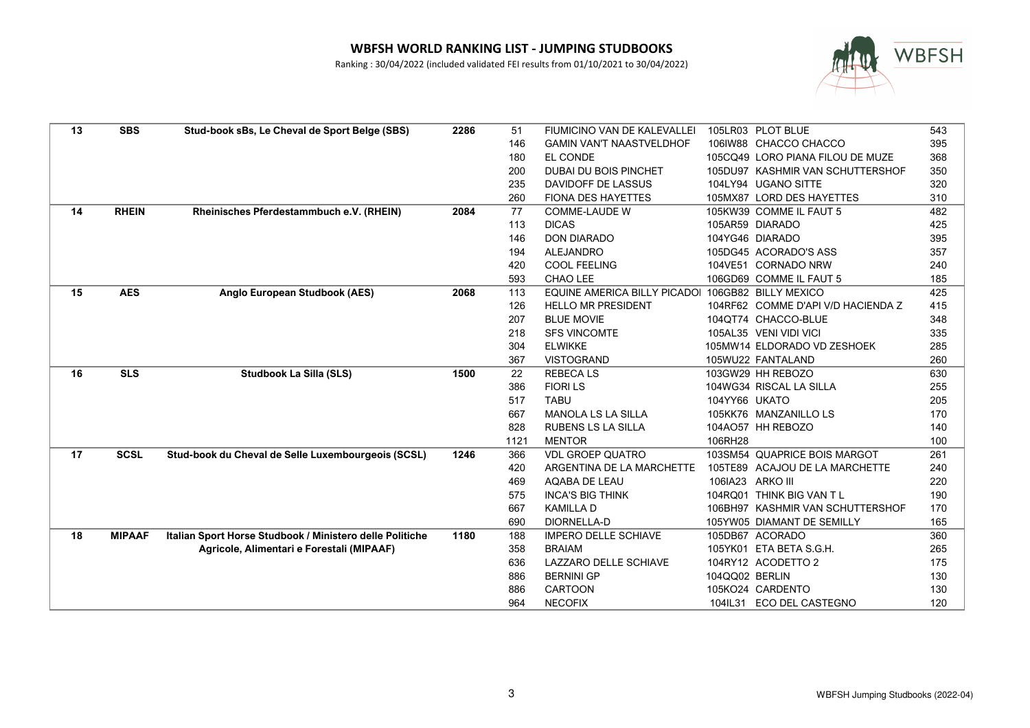

| 13 | <b>SBS</b>    | Stud-book sBs, Le Cheval de Sport Belge (SBS)            | 2286 | 51   | <b>FIUMICINO VAN DE KALEVALLEI</b>                |                | 105LR03 PLOT BLUE                  | 543 |
|----|---------------|----------------------------------------------------------|------|------|---------------------------------------------------|----------------|------------------------------------|-----|
|    |               |                                                          |      | 146  | <b>GAMIN VAN'T NAASTVELDHOF</b>                   |                | 106IW88 CHACCO CHACCO              | 395 |
|    |               |                                                          |      | 180  | EL CONDE                                          |                | 105CQ49 LORO PIANA FILOU DE MUZE   | 368 |
|    |               |                                                          |      | 200  | DUBAI DU BOIS PINCHET                             |                | 105DU97 KASHMIR VAN SCHUTTERSHOF   | 350 |
|    |               |                                                          |      | 235  | DAVIDOFF DE LASSUS                                |                | 104LY94 UGANO SITTE                | 320 |
|    |               |                                                          |      | 260  | <b>FIONA DES HAYETTES</b>                         |                | 105MX87 LORD DES HAYETTES          | 310 |
| 14 | <b>RHEIN</b>  | Rheinisches Pferdestammbuch e.V. (RHEIN)                 | 2084 | 77   | <b>COMME-LAUDE W</b>                              |                | 105KW39 COMME IL FAUT 5            | 482 |
|    |               |                                                          |      | 113  | <b>DICAS</b>                                      |                | 105AR59 DIARADO                    | 425 |
|    |               |                                                          |      | 146  | <b>DON DIARADO</b>                                |                | 104YG46 DIARADO                    | 395 |
|    |               |                                                          |      | 194  | <b>ALEJANDRO</b>                                  |                | 105DG45 ACORADO'S ASS              | 357 |
|    |               |                                                          |      | 420  | <b>COOL FEELING</b>                               |                | 104VE51 CORNADO NRW                | 240 |
|    |               |                                                          |      | 593  | CHAO LEE                                          |                | 106GD69 COMME IL FAUT 5            | 185 |
| 15 | <b>AES</b>    | Anglo European Studbook (AES)                            | 2068 | 113  | EQUINE AMERICA BILLY PICADOI 106GB82 BILLY MEXICO |                |                                    | 425 |
|    |               |                                                          |      | 126  | <b>HELLO MR PRESIDENT</b>                         |                | 104RF62 COMME D'API V/D HACIENDA Z | 415 |
|    |               |                                                          |      | 207  | <b>BLUE MOVIE</b>                                 |                | 104QT74 CHACCO-BLUE                | 348 |
|    |               |                                                          |      | 218  | <b>SFS VINCOMTE</b>                               |                | 105AL35 VENI VIDI VICI             | 335 |
|    |               |                                                          |      | 304  | <b>ELWIKKE</b>                                    |                | 105MW14 ELDORADO VD ZESHOEK        | 285 |
|    |               |                                                          |      | 367  | <b>VISTOGRAND</b>                                 |                | 105WU22 FANTALAND                  | 260 |
| 16 | <b>SLS</b>    | <b>Studbook La Silla (SLS)</b>                           | 1500 | 22   | <b>REBECALS</b>                                   |                | 103GW29 HH REBOZO                  | 630 |
|    |               |                                                          |      | 386  | <b>FIORILS</b>                                    |                | 104WG34 RISCAL LA SILLA            | 255 |
|    |               |                                                          |      | 517  | <b>TABU</b>                                       | 104YY66 UKATO  |                                    | 205 |
|    |               |                                                          |      | 667  | MANOLA LS LA SILLA                                |                | 105KK76 MANZANILLO LS              | 170 |
|    |               |                                                          |      | 828  | RUBENS LS LA SILLA                                |                | 104AO57 HH REBOZO                  | 140 |
|    |               |                                                          |      | 1121 | <b>MENTOR</b>                                     | 106RH28        |                                    | 100 |
| 17 | <b>SCSL</b>   | Stud-book du Cheval de Selle Luxembourgeois (SCSL)       | 1246 | 366  | <b>VDL GROEP QUATRO</b>                           |                | 103SM54 QUAPRICE BOIS MARGOT       | 261 |
|    |               |                                                          |      | 420  | ARGENTINA DE LA MARCHETTE                         |                | 105TE89 ACAJOU DE LA MARCHETTE     | 240 |
|    |               |                                                          |      | 469  | AQABA DE LEAU                                     |                | 106IA23 ARKO III                   | 220 |
|    |               |                                                          |      | 575  | <b>INCA'S BIG THINK</b>                           |                | 104RQ01 THINK BIG VAN TL           | 190 |
|    |               |                                                          |      | 667  | <b>KAMILLA D</b>                                  |                | 106BH97 KASHMIR VAN SCHUTTERSHOF   | 170 |
|    |               |                                                          |      | 690  | DIORNELLA-D                                       |                | 105YW05 DIAMANT DE SEMILLY         | 165 |
| 18 | <b>MIPAAF</b> | Italian Sport Horse Studbook / Ministero delle Politiche | 1180 | 188  | <b>IMPERO DELLE SCHIAVE</b>                       |                | 105DB67 ACORADO                    | 360 |
|    |               | Agricole, Alimentari e Forestali (MIPAAF)                |      | 358  | <b>BRAIAM</b>                                     |                | 105YK01 ETA BETA S.G.H.            | 265 |
|    |               |                                                          |      | 636  | LAZZARO DELLE SCHIAVE                             |                | 104RY12 ACODETTO 2                 | 175 |
|    |               |                                                          |      | 886  | <b>BERNINI GP</b>                                 | 104QQ02 BERLIN |                                    | 130 |
|    |               |                                                          |      | 886  | <b>CARTOON</b>                                    |                | 105KO24 CARDENTO                   | 130 |
|    |               |                                                          |      | 964  | <b>NECOFIX</b>                                    |                | 104IL31 ECO DEL CASTEGNO           | 120 |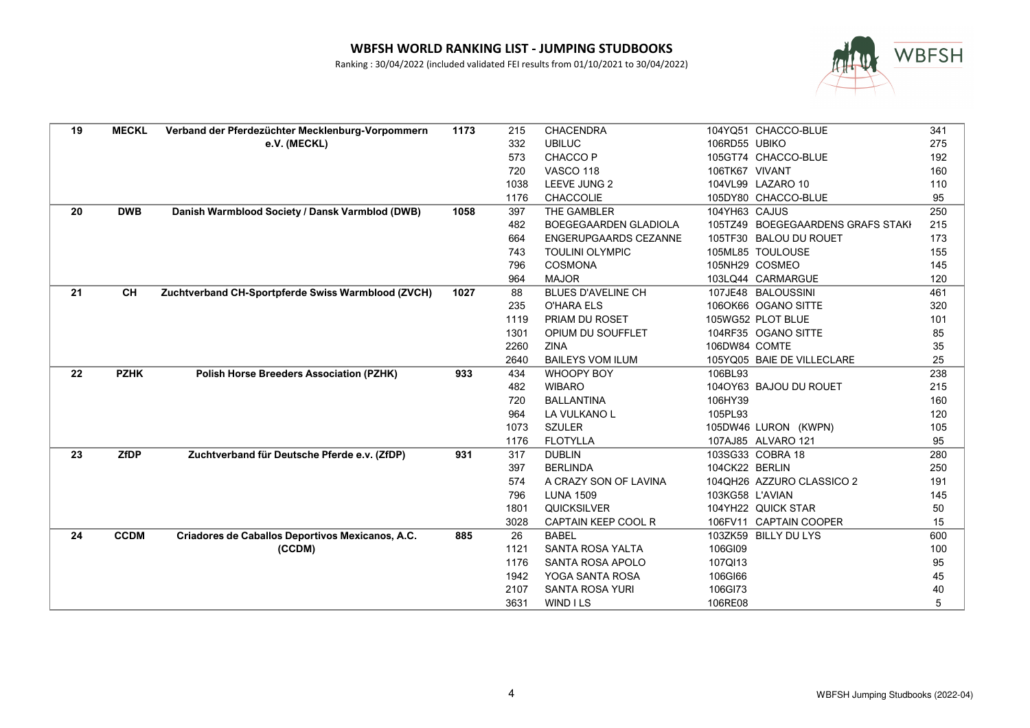

| 19 | <b>MECKL</b> | Verband der Pferdezüchter Mecklenburg-Vorpommern   | 1173 | 215  | <b>CHACENDRA</b>             |                 | 104YQ51 CHACCO-BLUE               | 341 |
|----|--------------|----------------------------------------------------|------|------|------------------------------|-----------------|-----------------------------------|-----|
|    |              | e.V. (MECKL)                                       |      | 332  | <b>UBILUC</b>                | 106RD55 UBIKO   |                                   | 275 |
|    |              |                                                    |      | 573  | CHACCO <sub>P</sub>          |                 | 105GT74 CHACCO-BLUE               | 192 |
|    |              |                                                    |      | 720  | VASCO 118                    | 106TK67 VIVANT  |                                   | 160 |
|    |              |                                                    |      | 1038 | LEEVE JUNG 2                 |                 | 104VL99 LAZARO 10                 | 110 |
|    |              |                                                    |      | 1176 | <b>CHACCOLIE</b>             |                 | 105DY80 CHACCO-BLUE               | 95  |
| 20 | <b>DWB</b>   | Danish Warmblood Society / Dansk Varmblod (DWB)    | 1058 | 397  | THE GAMBLER                  | 104YH63 CAJUS   |                                   | 250 |
|    |              |                                                    |      | 482  | BOEGEGAARDEN GLADIOLA        |                 | 105TZ49 BOEGEGAARDENS GRAFS STAKK | 215 |
|    |              |                                                    |      | 664  | <b>ENGERUPGAARDS CEZANNE</b> |                 | 105TF30 BALOU DU ROUET            | 173 |
|    |              |                                                    |      | 743  | <b>TOULINI OLYMPIC</b>       |                 | 105ML85 TOULOUSE                  | 155 |
|    |              |                                                    |      | 796  | <b>COSMONA</b>               |                 | 105NH29 COSMEO                    | 145 |
|    |              |                                                    |      | 964  | <b>MAJOR</b>                 |                 | 103LQ44 CARMARGUE                 | 120 |
| 21 | <b>CH</b>    | Zuchtverband CH-Sportpferde Swiss Warmblood (ZVCH) | 1027 | 88   | <b>BLUES D'AVELINE CH</b>    |                 | 107JE48 BALOUSSINI                | 461 |
|    |              |                                                    |      | 235  | <b>O'HARA ELS</b>            |                 | 106OK66 OGANO SITTE               | 320 |
|    |              |                                                    |      | 1119 | PRIAM DU ROSET               |                 | 105WG52 PLOT BLUE                 | 101 |
|    |              |                                                    |      | 1301 | OPIUM DU SOUFFLET            |                 | 104RF35 OGANO SITTE               | 85  |
|    |              |                                                    |      | 2260 | <b>ZINA</b>                  | 106DW84 COMTE   |                                   | 35  |
|    |              |                                                    |      | 2640 | <b>BAILEYS VOM ILUM</b>      |                 | 105YQ05 BAIE DE VILLECLARE        | 25  |
| 22 | <b>PZHK</b>  | <b>Polish Horse Breeders Association (PZHK)</b>    | 933  | 434  | <b>WHOOPY BOY</b>            | 106BL93         |                                   | 238 |
|    |              |                                                    |      | 482  | <b>WIBARO</b>                |                 | 104OY63 BAJOU DU ROUET            | 215 |
|    |              |                                                    |      | 720  | <b>BALLANTINA</b>            | 106HY39         |                                   | 160 |
|    |              |                                                    |      | 964  | LA VULKANO L                 | 105PL93         |                                   | 120 |
|    |              |                                                    |      | 1073 | <b>SZULER</b>                |                 | 105DW46 LURON (KWPN)              | 105 |
|    |              |                                                    |      | 1176 | <b>FLOTYLLA</b>              |                 | 107AJ85 ALVARO 121                | 95  |
| 23 | <b>ZfDP</b>  | Zuchtverband für Deutsche Pferde e.v. (ZfDP)       | 931  | 317  | <b>DUBLIN</b>                |                 | 103SG33 COBRA 18                  | 280 |
|    |              |                                                    |      | 397  | <b>BERLINDA</b>              | 104CK22 BERLIN  |                                   | 250 |
|    |              |                                                    |      | 574  | A CRAZY SON OF LAVINA        |                 | 104QH26 AZZURO CLASSICO 2         | 191 |
|    |              |                                                    |      | 796  | <b>LUNA 1509</b>             | 103KG58 L'AVIAN |                                   | 145 |
|    |              |                                                    |      | 1801 | QUICKSILVER                  |                 | 104YH22 QUICK STAR                | 50  |
|    |              |                                                    |      | 3028 | <b>CAPTAIN KEEP COOL R</b>   |                 | 106FV11 CAPTAIN COOPER            | 15  |
| 24 | <b>CCDM</b>  | Criadores de Caballos Deportivos Mexicanos, A.C.   | 885  | 26   | <b>BABEL</b>                 |                 | 103ZK59 BILLY DU LYS              | 600 |
|    |              | (CCDM)                                             |      | 1121 | <b>SANTA ROSA YALTA</b>      | 106GI09         |                                   | 100 |
|    |              |                                                    |      | 1176 | SANTA ROSA APOLO             | 107QI13         |                                   | 95  |
|    |              |                                                    |      | 1942 | YOGA SANTA ROSA              | 106GI66         |                                   | 45  |
|    |              |                                                    |      | 2107 | <b>SANTA ROSA YURI</b>       | 106GI73         |                                   | 40  |
|    |              |                                                    |      | 3631 | <b>WIND ILS</b>              | 106RE08         |                                   | 5   |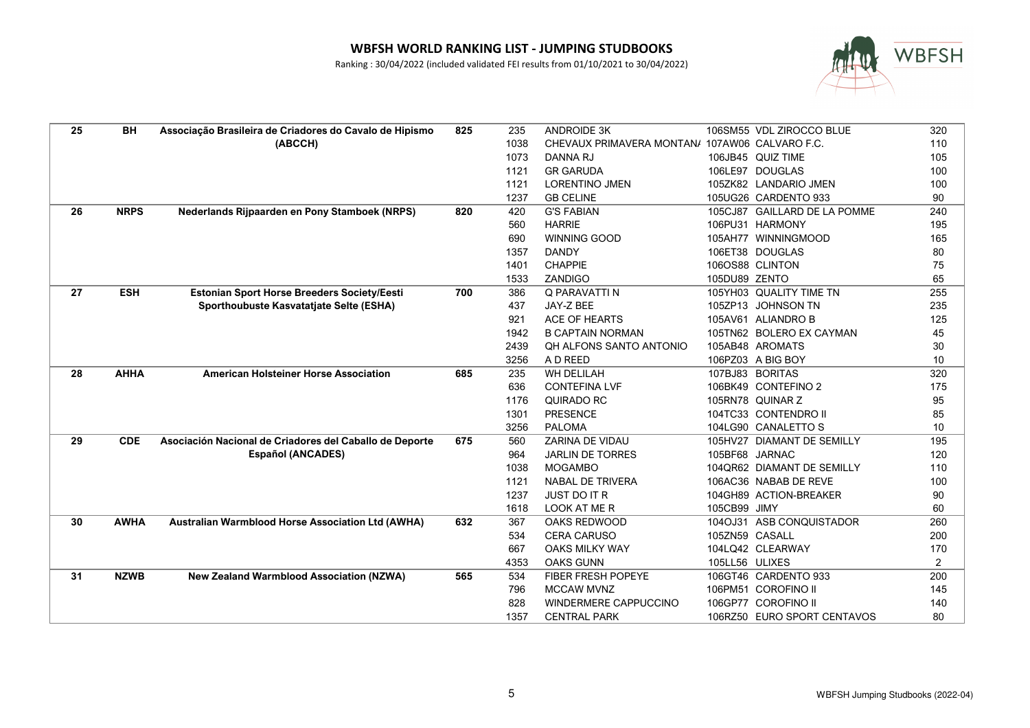

| 25 | <b>BH</b>   | Associação Brasileira de Criadores do Cavalo de Hipismo | 825 | 235  | <b>ANDROIDE 3K</b>                             |                | 106SM55 VDL ZIROCCO BLUE     | 320 |
|----|-------------|---------------------------------------------------------|-----|------|------------------------------------------------|----------------|------------------------------|-----|
|    |             | (ABCCH)                                                 |     | 1038 | CHEVAUX PRIMAVERA MONTAN/ 107AW06 CALVARO F.C. |                |                              | 110 |
|    |             |                                                         |     | 1073 | <b>DANNA RJ</b>                                |                | 106JB45 QUIZ TIME            | 105 |
|    |             |                                                         |     | 1121 | <b>GR GARUDA</b>                               |                | 106LE97 DOUGLAS              | 100 |
|    |             |                                                         |     | 1121 | <b>LORENTINO JMEN</b>                          |                | 105ZK82 LANDARIO JMEN        | 100 |
|    |             |                                                         |     | 1237 | <b>GB CELINE</b>                               |                | 105UG26 CARDENTO 933         | 90  |
| 26 | <b>NRPS</b> | Nederlands Rijpaarden en Pony Stamboek (NRPS)           | 820 | 420  | <b>G'S FABIAN</b>                              |                | 105CJ87 GAILLARD DE LA POMME | 240 |
|    |             |                                                         |     | 560  | <b>HARRIE</b>                                  |                | 106PU31 HARMONY              | 195 |
|    |             |                                                         |     | 690  | WINNING GOOD                                   |                | 105AH77 WINNINGMOOD          | 165 |
|    |             |                                                         |     | 1357 | <b>DANDY</b>                                   |                | 106ET38 DOUGLAS              | 80  |
|    |             |                                                         |     | 1401 | <b>CHAPPIE</b>                                 |                | 106OS88 CLINTON              | 75  |
|    |             |                                                         |     | 1533 | ZANDIGO                                        | 105DU89 ZENTO  |                              | 65  |
| 27 | <b>ESH</b>  | Estonian Sport Horse Breeders Society/Eesti             | 700 | 386  | Q PARAVATTI N                                  |                | 105YH03 QUALITY TIME TN      | 255 |
|    |             | Sporthoubuste Kasvatatjate Selte (ESHA)                 |     | 437  | JAY-Z BEE                                      |                | 105ZP13 JOHNSON TN           | 235 |
|    |             |                                                         |     | 921  | ACE OF HEARTS                                  |                | 105AV61 ALIANDRO B           | 125 |
|    |             |                                                         |     | 1942 | <b>B CAPTAIN NORMAN</b>                        |                | 105TN62 BOLERO EX CAYMAN     | 45  |
|    |             |                                                         |     | 2439 | QH ALFONS SANTO ANTONIO                        |                | 105AB48 AROMATS              | 30  |
|    |             |                                                         |     | 3256 | A D REED                                       |                | 106PZ03 A BIG BOY            | 10  |
| 28 | <b>AHHA</b> | <b>American Holsteiner Horse Association</b>            | 685 | 235  | <b>WH DELILAH</b>                              |                | 107BJ83 BORITAS              | 320 |
|    |             |                                                         |     | 636  | <b>CONTEFINA LVF</b>                           |                | 106BK49 CONTEFINO 2          | 175 |
|    |             |                                                         |     | 1176 | <b>QUIRADO RC</b>                              |                | 105RN78 QUINAR Z             | 95  |
|    |             |                                                         |     | 1301 | <b>PRESENCE</b>                                |                | 104TC33 CONTENDRO II         | 85  |
|    |             |                                                         |     | 3256 | <b>PALOMA</b>                                  |                | 104LG90 CANALETTO S          | 10  |
| 29 | <b>CDE</b>  | Asociación Nacional de Criadores del Caballo de Deporte | 675 | 560  | ZARINA DE VIDAU                                |                | 105HV27 DIAMANT DE SEMILLY   | 195 |
|    |             | <b>Español (ANCADES)</b>                                |     | 964  | <b>JARLIN DE TORRES</b>                        | 105BF68 JARNAC |                              | 120 |
|    |             |                                                         |     | 1038 | <b>MOGAMBO</b>                                 |                | 104QR62 DIAMANT DE SEMILLY   | 110 |
|    |             |                                                         |     | 1121 | <b>NABAL DE TRIVERA</b>                        |                | 106AC36 NABAB DE REVE        | 100 |
|    |             |                                                         |     | 1237 | <b>JUST DO IT R</b>                            |                | 104GH89 ACTION-BREAKER       | 90  |
|    |             |                                                         |     | 1618 | LOOK AT ME R                                   | 105CB99 JIMY   |                              | 60  |
| 30 | <b>AWHA</b> | Australian Warmblood Horse Association Ltd (AWHA)       | 632 | 367  | OAKS REDWOOD                                   |                | 104OJ31 ASB CONQUISTADOR     | 260 |
|    |             |                                                         |     | 534  | <b>CERA CARUSO</b>                             | 105ZN59 CASALL |                              | 200 |
|    |             |                                                         |     | 667  | <b>OAKS MILKY WAY</b>                          |                | 104LQ42 CLEARWAY             | 170 |
|    |             |                                                         |     | 4353 | <b>OAKS GUNN</b>                               | 105LL56 ULIXES |                              | 2   |
| 31 | <b>NZWB</b> | <b>New Zealand Warmblood Association (NZWA)</b>         | 565 | 534  | <b>FIBER FRESH POPEYE</b>                      |                | 106GT46 CARDENTO 933         | 200 |
|    |             |                                                         |     | 796  | <b>MCCAW MVNZ</b>                              |                | 106PM51 COROFINO II          | 145 |
|    |             |                                                         |     | 828  | WINDERMERE CAPPUCCINO                          |                | 106GP77 COROFINO II          | 140 |
|    |             |                                                         |     | 1357 | <b>CENTRAL PARK</b>                            |                | 106RZ50 EURO SPORT CENTAVOS  | 80  |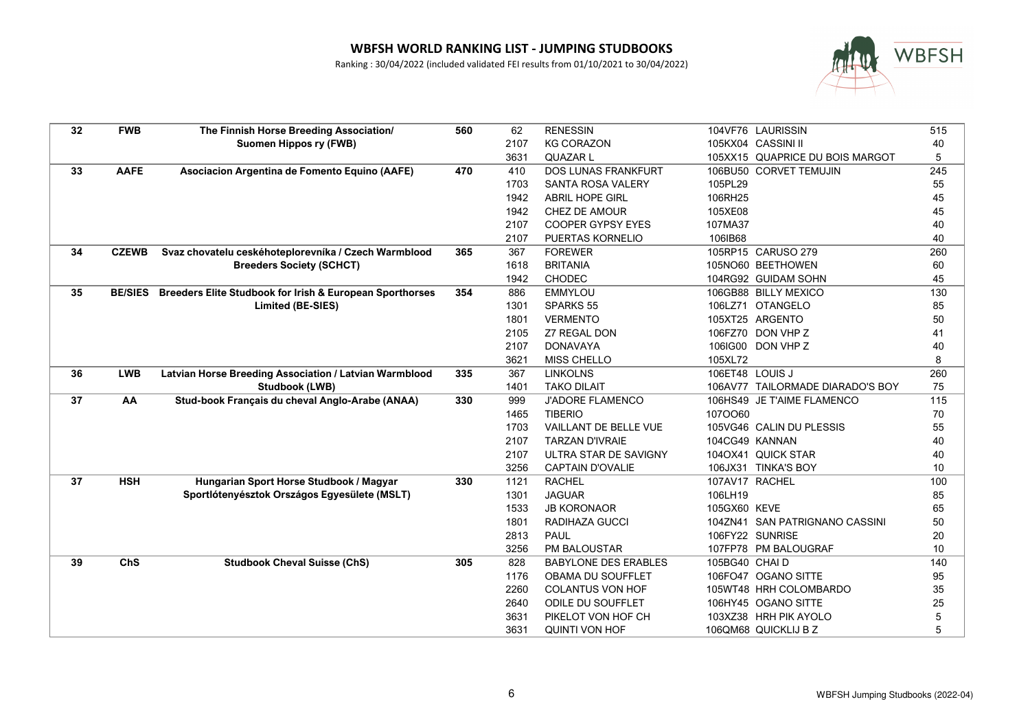

| 32 | <b>FWB</b>   | The Finnish Horse Breeding Association/                          | 560 | 62   | <b>RENESSIN</b>             |               | 104VF76 LAURISSIN                | 515 |
|----|--------------|------------------------------------------------------------------|-----|------|-----------------------------|---------------|----------------------------------|-----|
|    |              | <b>Suomen Hippos ry (FWB)</b>                                    |     | 2107 | <b>KG CORAZON</b>           |               | 105KX04 CASSINI II               | 40  |
|    |              |                                                                  |     | 3631 | <b>QUAZAR L</b>             |               | 105XX15 QUAPRICE DU BOIS MARGOT  | 5   |
| 33 | <b>AAFE</b>  | Asociacion Argentina de Fomento Equino (AAFE)                    | 470 | 410  | <b>DOS LUNAS FRANKFURT</b>  |               | 106BU50 CORVET TEMUJIN           | 245 |
|    |              |                                                                  |     | 1703 | SANTA ROSA VALERY           | 105PL29       |                                  | 55  |
|    |              |                                                                  |     | 1942 | <b>ABRIL HOPE GIRL</b>      | 106RH25       |                                  | 45  |
|    |              |                                                                  |     | 1942 | <b>CHEZ DE AMOUR</b>        | 105XE08       |                                  | 45  |
|    |              |                                                                  |     | 2107 | <b>COOPER GYPSY EYES</b>    | 107MA37       |                                  | 40  |
|    |              |                                                                  |     | 2107 | PUERTAS KORNELIO            | 106IB68       |                                  | 40  |
| 34 | <b>CZEWB</b> | Svaz chovatelu ceskéhoteplorevníka / Czech Warmblood             | 365 | 367  | <b>FOREWER</b>              |               | 105RP15 CARUSO 279               | 260 |
|    |              | <b>Breeders Society (SCHCT)</b>                                  |     | 1618 | <b>BRITANIA</b>             |               | 105NO60 BEETHOWEN                | 60  |
|    |              |                                                                  |     | 1942 | <b>CHODEC</b>               |               | 104RG92 GUIDAM SOHN              | 45  |
| 35 |              | BE/SIES Breeders Elite Studbook for Irish & European Sporthorses | 354 | 886  | <b>EMMYLOU</b>              |               | 106GB88 BILLY MEXICO             | 130 |
|    |              | Limited (BE-SIES)                                                |     | 1301 | <b>SPARKS 55</b>            |               | 106LZ71 OTANGELO                 | 85  |
|    |              |                                                                  |     | 1801 | <b>VERMENTO</b>             |               | 105XT25 ARGENTO                  | 50  |
|    |              |                                                                  |     | 2105 | <b>Z7 REGAL DON</b>         |               | 106FZ70 DON VHP Z                | 41  |
|    |              |                                                                  |     | 2107 | <b>DONAVAYA</b>             |               | 106IG00 DON VHP Z                | 40  |
|    |              |                                                                  |     | 3621 | MISS CHELLO                 | 105XL72       |                                  | 8   |
| 36 | <b>LWB</b>   | Latvian Horse Breeding Association / Latvian Warmblood           | 335 | 367  | <b>LINKOLNS</b>             |               | 106ET48 LOUIS J                  | 260 |
|    |              | Studbook (LWB)                                                   |     | 1401 | <b>TAKO DILAIT</b>          |               | 106AV77 TAILORMADE DIARADO'S BOY | 75  |
| 37 | AA           | Stud-book Français du cheval Anglo-Arabe (ANAA)                  | 330 | 999  | <b>J'ADORE FLAMENCO</b>     |               | 106HS49 JE T'AIME FLAMENCO       | 115 |
|    |              |                                                                  |     | 1465 | <b>TIBERIO</b>              | 1070060       |                                  | 70  |
|    |              |                                                                  |     | 1703 | VAILLANT DE BELLE VUE       |               | 105VG46 CALIN DU PLESSIS         | 55  |
|    |              |                                                                  |     | 2107 | <b>TARZAN D'IVRAIE</b>      |               | 104CG49 KANNAN                   | 40  |
|    |              |                                                                  |     | 2107 | ULTRA STAR DE SAVIGNY       |               | 104OX41 QUICK STAR               | 40  |
|    |              |                                                                  |     | 3256 | <b>CAPTAIN D'OVALIE</b>     |               | 106JX31 TINKA'S BOY              | 10  |
| 37 | <b>HSH</b>   | Hungarian Sport Horse Studbook / Magyar                          | 330 | 1121 | <b>RACHEL</b>               |               | 107AV17 RACHEL                   | 100 |
|    |              | Sportlótenyésztok Országos Egyesülete (MSLT)                     |     | 1301 | <b>JAGUAR</b>               | 106LH19       |                                  | 85  |
|    |              |                                                                  |     | 1533 | <b>JB KORONAOR</b>          | 105GX60 KEVE  |                                  | 65  |
|    |              |                                                                  |     | 1801 | RADIHAZA GUCCI              |               | 104ZN41 SAN PATRIGNANO CASSINI   | 50  |
|    |              |                                                                  |     | 2813 | PAUL                        |               | 106FY22 SUNRISE                  | 20  |
|    |              |                                                                  |     | 3256 | PM BALOUSTAR                |               | 107FP78 PM BALOUGRAF             | 10  |
| 39 | ChS          | <b>Studbook Cheval Suisse (ChS)</b>                              | 305 | 828  | <b>BABYLONE DES ERABLES</b> | 105BG40 CHAID |                                  | 140 |
|    |              |                                                                  |     | 1176 | OBAMA DU SOUFFLET           |               | 106FO47 OGANO SITTE              | 95  |
|    |              |                                                                  |     | 2260 | <b>COLANTUS VON HOF</b>     |               | 105WT48 HRH COLOMBARDO           | 35  |
|    |              |                                                                  |     | 2640 | <b>ODILE DU SOUFFLET</b>    |               | 106HY45 OGANO SITTE              | 25  |
|    |              |                                                                  |     | 3631 | PIKELOT VON HOF CH          |               | 103XZ38 HRH PIK AYOLO            | 5   |
|    |              |                                                                  |     | 3631 | <b>QUINTI VON HOF</b>       |               | 106QM68 QUICKLIJ B Z             | 5   |